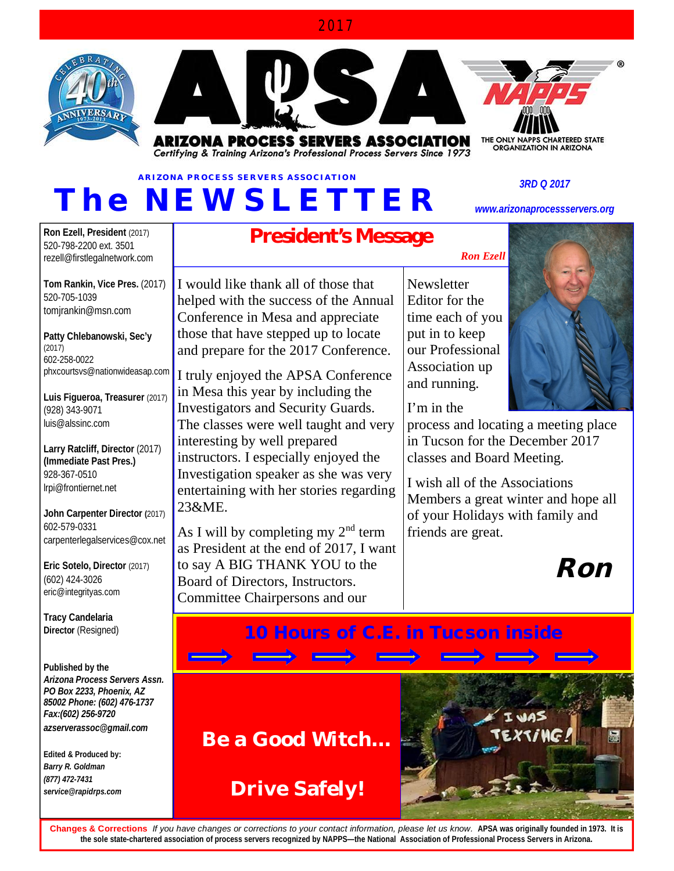#### 2017





**ARIZONA PROCESS SERVERS ASSOCIATION** Certifying & Training Arizona's Professional Process Servers Since 1973

# **ARIZONA PROCESS SERVERS ASSOCIATION** *T h e N EW S LE T T ER*

*3RD Q 2017*

*[www.arizonaprocessservers.org](http://www.arizonaprocessservers.org)*

**Ron Ezell, President** (2017) 520-798-2200 ext. 3501 [rezell@firstlegalnetwork.com](mailto:rezell@firstlegalnetwork.com)

**Tom Rankin, Vice Pres.** (2017) 520-705-1039 [tomjrankin@msn.com](mailto:tomjrankin@msn.com)

**Patty Chlebanowski, Sec'y** (2017) 602-258-0022 [phxcourtsvs@nationwideasap.com](mailto:phxcourtsvs@nationwideasap.com)

**Luis Figueroa, Treasurer** (2017) (928) 343-9071 [luis@alssinc.com](mailto:luis@alssinc.com)

**Larry Ratcliff, Director** (2017) **(Immediate Past Pres.)**  928-367-0510 [lrpi@frontiernet.net](mailto:lrpi@frontiernet.net) 

**John Carpenter Director (**2017) 602-579-0331 [carpenterlegalservices@cox.net](mailto:carpenterlegalservices@cox.net)

**Eric Sotelo, Director** (2017) (602) 424-3026 [eric@integrityas.com](mailto:eric@integrityas.com) 

**Tracy Candelaria Director** (Resigned)

#### **Published by the** *Arizona Process Servers Assn. PO Box 2233, Phoenix, AZ 85002 Phone: (602) 476-1737 Fax:(602) 256-9720 [azserverassoc@gmail.com](mailto:azserverassoc@gmail.com)*

**Edited & Produced by:** *Barry R. Goldman (877) 472-7431 [service@rapidrps.com](mailto:service@rapidrps.com)*

# **President's Message**

I would like thank all of those that helped with the success of the Annual Conference in Mesa and appreciate those that have stepped up to locate and prepare for the 2017 Conference.

I truly enjoyed the APSA Conference in Mesa this year by including the Investigators and Security Guards. The classes were well taught and very interesting by well prepared instructors. I especially enjoyed the Investigation speaker as she was very entertaining with her stories regarding 23&ME.

As I will by completing my  $2<sup>nd</sup>$  term as President at the end of 2017, I want to say A BIG THANK YOU to the Board of Directors, Instructors. Committee Chairpersons and our

**Newsletter** Editor for the time each of you put in to keep our Professional Association up and running.

I'm in the

process and locating a meeting place in Tucson for the December 2017 classes and Board Meeting.

I wish all of the Associations Members a great winter and hope all of your Holidays with family and friends are great.



## *10 Hours of C.E. in Tucson inside*

# **Be a Good Witch…**

**Drive Safely!**



**Changes & Corrections** *If you have changes or corrections to your contact information, please let us know.* **APSA was originally founded in 1973. It is the sole state-chartered association of process servers recognized by NAPPS—the National Association of Professional Process Servers in Arizona.** 

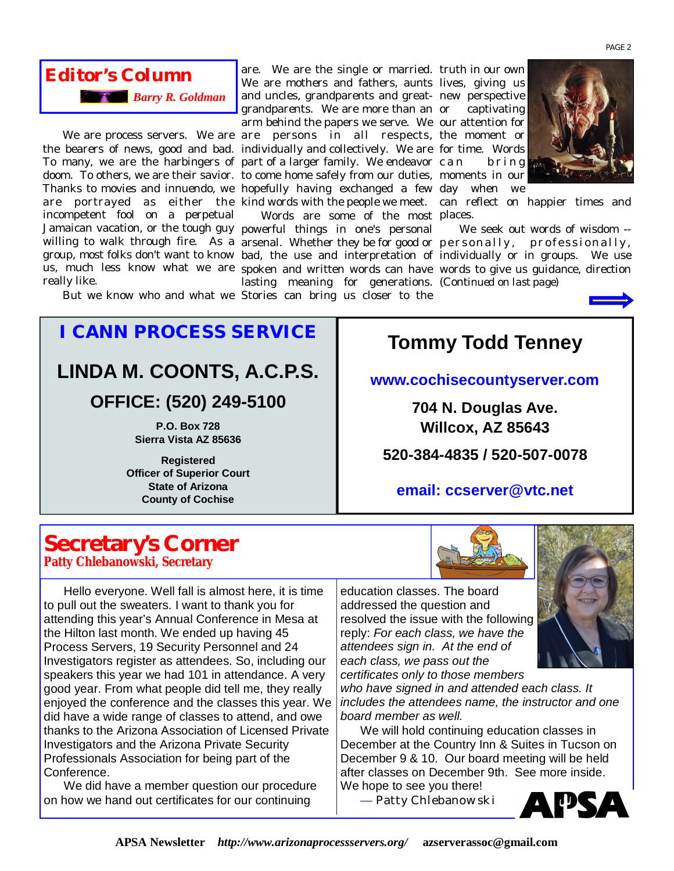

We are process servers. We are are persons in all respects, the moment or the bearers of news, good and bad. individually and collectively. We are for time. Words To many, we are the harbingers of part of a larger family. We endeavor doom. To others, we are their savior. to come home safely from our duties, moments in our Thanks to movies and innuendo, we hopefully having exchanged a few day when we are portrayed as either the kind words with the people we meet. can reflect on happier times and incompetent fool on a perpetual Jamaican vacation, or the tough guy powerful things in one's personal really like.

are. We are the single or married. truth in our own We are mothers and fathers, aunts lives, giving us and uncles, grandparents and great-new perspective grandparents. We are more than an arm behind the papers we serve. We our attention for

willing to walk through fire. As a arsenal. Whether they be for good or <code>personally, professionally,</code> group, most folks don't want to know bad, the use and interpretation of individually or in groups. We use us, much less know what we are spoken and written words can have words to give us guidance, direction Words are some of the most places. lasting meaning for generations. (*Continued on last page*)

But we know who and what we Stories can bring us closer to the

captivating b r i n g



We seek out words of wisdom --



*I CANN PROCESS SERVICE* **LINDA M. COONTS, A.C.P.S. OFFICE: (520) 249-5100** 

> **P.O. Box 728 Sierra Vista AZ 85636**

**Registered Officer of Superior Court State of Arizona County of Cochise**

# **Tommy Todd Tenney**

#### **[www.cochisecountyserver.com](http://www.cochisecountyserver.com)**

**704 N. Douglas Ave. Willcox, AZ 85643**

**520-384-4835 / 520-507-0078** 

#### **email: [ccserver@vtc.net](mailto:ccserver@vtc.net)**

### **Secretary's Corner Patty Chlebanowski, Secretary**

Hello everyone. Well fall is almost here, it is time to pull out the sweaters. I want to thank you for attending this year's Annual Conference in Mesa at the Hilton last month. We ended up having 45 Process Servers, 19 Security Personnel and 24 Investigators register as attendees. So, including our speakers this year we had 101 in attendance. A very good year. From what people did tell me, they really enjoyed the conference and the classes this year. We did have a wide range of classes to attend, and owe thanks to the Arizona Association of Licensed Private Investigators and the Arizona Private Security Professionals Association for being part of the Conference.

We did have a member question our procedure on how we hand out certificates for our continuing



education classes. The board addressed the question and resolved the issue with the following reply: *For each class, we have the attendees sign in. At the end of each class, we pass out the certificates only to those members* 

*who have signed in and attended each class. It includes the attendees name, the instructor and one board member as well.*

We will hold continuing education classes in December at the Country Inn & Suites in Tucson on December 9 & 10. Our board meeting will be held after classes on December 9th. See more inside. We hope to see you there!

— Patty Chlebanowski



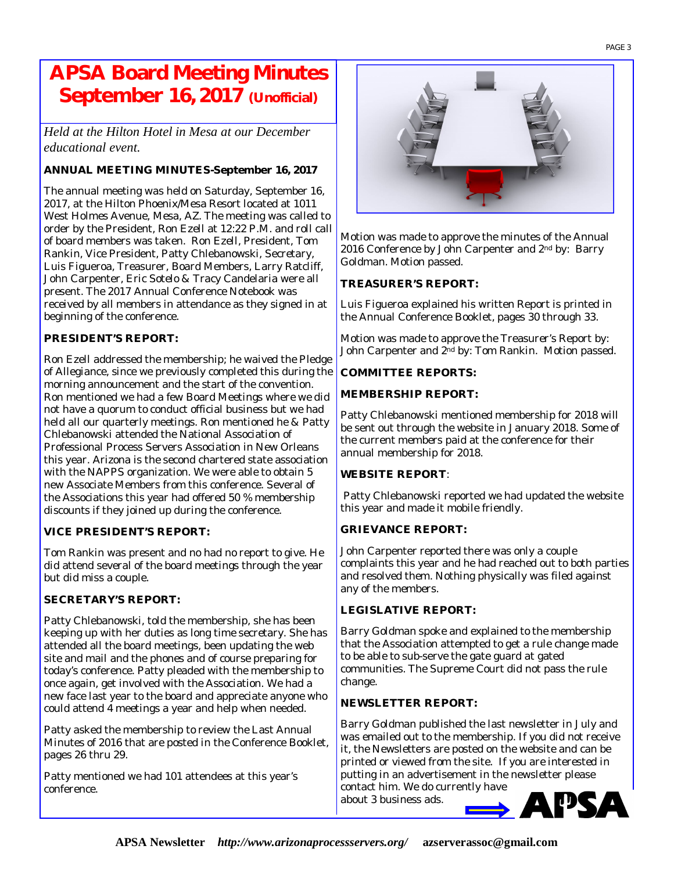## **APSA Board Meeting Minutes September 16, 2017 (Unofficial)**

*Held at the Hilton Hotel in Mesa at our December educational event.* 

#### **ANNUAL MEETING MINUTES-September 16, 2017**

The annual meeting was held on Saturday, September 16, 2017, at the Hilton Phoenix/Mesa Resort located at 1011 West Holmes Avenue, Mesa, AZ. The meeting was called to order by the President, Ron Ezell at 12:22 P.M. and roll call of board members was taken. Ron Ezell, President, Tom Rankin, Vice President, Patty Chlebanowski, Secretary, Luis Figueroa, Treasurer, Board Members, Larry Ratcliff, John Carpenter, Eric Sotelo & Tracy Candelaria were all present. The 2017 Annual Conference Notebook was received by all members in attendance as they signed in at beginning of the conference.

#### **PRESIDENT'S REPORT:**

Ron Ezell addressed the membership; he waived the Pledge of Allegiance, since we previously completed this during the morning announcement and the start of the convention. Ron mentioned we had a few Board Meetings where we did not have a quorum to conduct official business but we had held all our quarterly meetings. Ron mentioned he & Patty Chlebanowski attended the National Association of Professional Process Servers Association in New Orleans this year. Arizona is the second chartered state association with the NAPPS organization. We were able to obtain 5 new Associate Members from this conference. Several of the Associations this year had offered 50 % membership discounts if they joined up during the conference.

#### **VICE PRESIDENT'S REPORT:**

Tom Rankin was present and no had no report to give. He did attend several of the board meetings through the year but did miss a couple.

#### **SECRETARY'S REPORT:**

Patty Chlebanowski, told the membership, she has been keeping up with her duties as long time secretary. She has attended all the board meetings, been updating the web site and mail and the phones and of course preparing for today's conference. Patty pleaded with the membership to once again, get involved with the Association. We had a new face last year to the board and appreciate anyone who could attend 4 meetings a year and help when needed.

Patty asked the membership to review the Last Annual Minutes of 2016 that are posted in the Conference Booklet, pages 26 thru 29.

Patty mentioned we had 101 attendees at this year's conference.



Motion was made to approve the minutes of the Annual 2016 Conference by John Carpenter and 2<sup>nd</sup> by: Barry Goldman. Motion passed.

#### **TREASURER'S REPORT:**

Luis Figueroa explained his written Report is printed in the Annual Conference Booklet, pages 30 through 33.

Motion was made to approve the Treasurer's Report by: John Carpenter and 2nd by: Tom Rankin. Motion passed.

#### **COMMITTEE REPORTS:**

#### **MEMBERSHIP REPORT:**

Patty Chlebanowski mentioned membership for 2018 will be sent out through the website in January 2018. Some of the current members paid at the conference for their annual membership for 2018.

#### **WEBSITE REPORT**:

Patty Chlebanowski reported we had updated the website this year and made it mobile friendly.

#### **GRIEVANCE REPORT:**

John Carpenter reported there was only a couple complaints this year and he had reached out to both parties and resolved them. Nothing physically was filed against any of the members.

#### **LEGISLATIVE REPORT:**

Barry Goldman spoke and explained to the membership that the Association attempted to get a rule change made to be able to sub-serve the gate guard at gated communities. The Supreme Court did not pass the rule change.

#### **NEWSLETTER REPORT:**

Barry Goldman published the last newsletter in July and was emailed out to the membership. If you did not receive it, the Newsletters are posted on the website and can be printed or viewed from the site. If you are interested in putting in an advertisement in the newsletter please

contact him. We do currently have about 3 business ads.

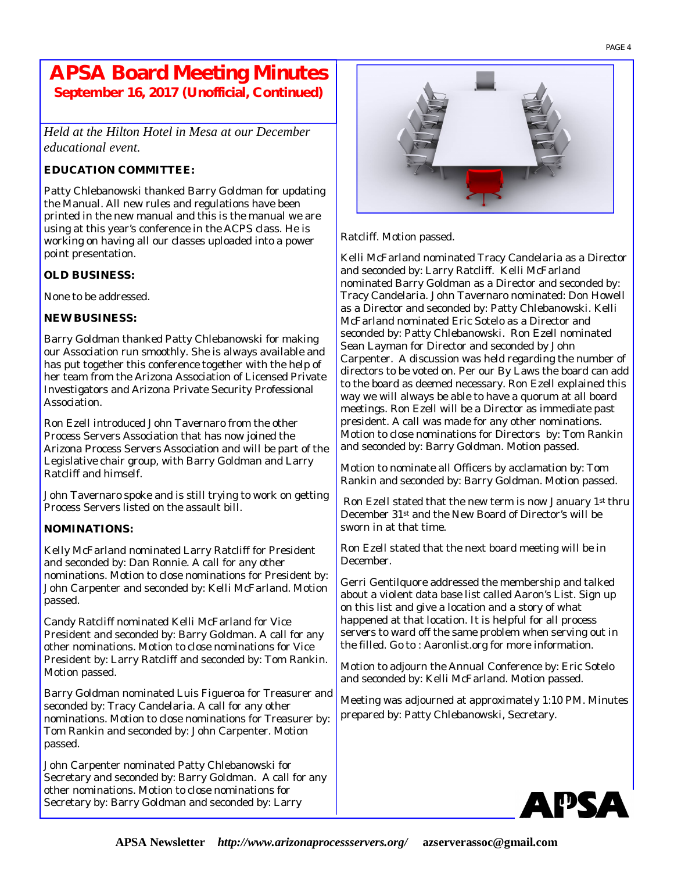### **APSA Board Meeting Minutes September 16, 2017 (Unofficial, Continued)**

*Held at the Hilton Hotel in Mesa at our December educational event.* 

#### **EDUCATION COMMITTEE:**

Patty Chlebanowski thanked Barry Goldman for updating the Manual. All new rules and regulations have been printed in the new manual and this is the manual we are using at this year's conference in the ACPS class. He is working on having all our classes uploaded into a power point presentation.

#### **OLD BUSINESS:**

None to be addressed.

#### **NEW BUSINESS:**

Barry Goldman thanked Patty Chlebanowski for making our Association run smoothly. She is always available and has put together this conference together with the help of her team from the Arizona Association of Licensed Private Investigators and Arizona Private Security Professional Association.

Ron Ezell introduced John Tavernaro from the other Process Servers Association that has now joined the Arizona Process Servers Association and will be part of the Legislative chair group, with Barry Goldman and Larry Ratcliff and himself.

John Tavernaro spoke and is still trying to work on getting Process Servers listed on the assault bill.

#### **NOMINATIONS:**

Kelly McFarland nominated Larry Ratcliff for President and seconded by: Dan Ronnie. A call for any other nominations. Motion to close nominations for President by: John Carpenter and seconded by: Kelli McFarland. Motion passed.

Candy Ratcliff nominated Kelli McFarland for Vice President and seconded by: Barry Goldman. A call for any other nominations. Motion to close nominations for Vice President by: Larry Ratcliff and seconded by: Tom Rankin. Motion passed.

Barry Goldman nominated Luis Figueroa for Treasurer and seconded by: Tracy Candelaria. A call for any other nominations. Motion to close nominations for Treasurer by: Tom Rankin and seconded by: John Carpenter. Motion passed.

John Carpenter nominated Patty Chlebanowski for Secretary and seconded by: Barry Goldman. A call for any other nominations. Motion to close nominations for Secretary by: Barry Goldman and seconded by: Larry



Ratcliff. Motion passed.

Kelli McFarland nominated Tracy Candelaria as a Director and seconded by: Larry Ratcliff. Kelli McFarland nominated Barry Goldman as a Director and seconded by: Tracy Candelaria. John Tavernaro nominated: Don Howell as a Director and seconded by: Patty Chlebanowski. Kelli McFarland nominated Eric Sotelo as a Director and seconded by: Patty Chlebanowski. Ron Ezell nominated Sean Layman for Director and seconded by John Carpenter. A discussion was held regarding the number of directors to be voted on. Per our By Laws the board can add to the board as deemed necessary. Ron Ezell explained this way we will always be able to have a quorum at all board meetings. Ron Ezell will be a Director as immediate past president. A call was made for any other nominations. Motion to close nominations for Directors by: Tom Rankin and seconded by: Barry Goldman. Motion passed.

Motion to nominate all Officers by acclamation by: Tom Rankin and seconded by: Barry Goldman. Motion passed.

Ron Ezell stated that the new term is now January 1st thru December 31st and the New Board of Director's will be sworn in at that time.

Ron Ezell stated that the next board meeting will be in December.

Gerri Gentilquore addressed the membership and talked about a violent data base list called Aaron's List. Sign up on this list and give a location and a story of what happened at that location. It is helpful for all process servers to ward off the same problem when serving out in the filled. Go to : Aaronlist.org for more information.

Motion to adjourn the Annual Conference by: Eric Sotelo and seconded by: Kelli McFarland. Motion passed.

Meeting was adjourned at approximately 1:10 PM. Minutes prepared by: Patty Chlebanowski, Secretary.

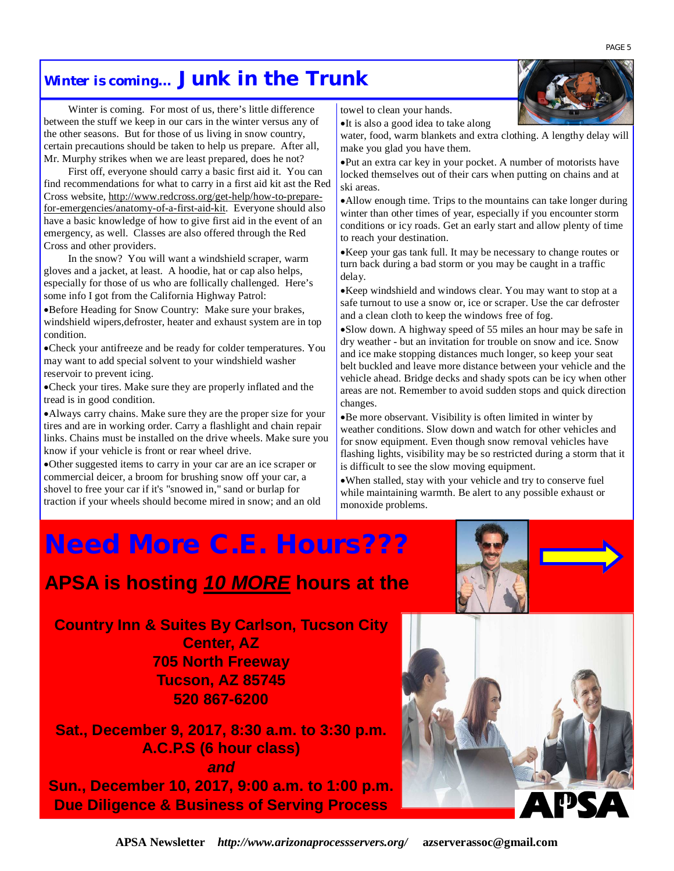### *Winter is coming…* **Junk in the Trunk**

Winter is coming. For most of us, there's little difference between the stuff we keep in our cars in the winter versus any of the other seasons. But for those of us living in snow country, certain precautions should be taken to help us prepare. After all, Mr. Murphy strikes when we are least prepared, does he not?

First off, everyone should carry a basic first aid it. You can find recommendations for what to carry in a first aid kit ast the Red Cross website, [http://www.redcross.org/get-help/how-to-prepare](http://www.redcross.org/get-help/how-to-prepare-)for-emergencies/anatomy-of-a-first-aid-kit. Everyone should also have a basic knowledge of how to give first aid in the event of an emergency, as well. Classes are also offered through the Red Cross and other providers.

In the snow? You will want a windshield scraper, warm gloves and a jacket, at least. A hoodie, hat or cap also helps, especially for those of us who are follically challenged. Here's some info I got from the California Highway Patrol:

Before Heading for Snow Country: Make sure your brakes, windshield wipers,defroster, heater and exhaust system are in top condition.

Check your antifreeze and be ready for colder temperatures. You may want to add special solvent to your windshield washer reservoir to prevent icing.

Check your tires. Make sure they are properly inflated and the tread is in good condition.

Always carry chains. Make sure they are the proper size for your tires and are in working order. Carry a flashlight and chain repair links. Chains must be installed on the drive wheels. Make sure you know if your vehicle is front or rear wheel drive.

Other suggested items to carry in your car are an ice scraper or commercial deicer, a broom for brushing snow off your car, a shovel to free your car if it's "snowed in," sand or burlap for traction if your wheels should become mired in snow; and an old towel to clean your hands.

•It is also a good idea to take along

water, food, warm blankets and extra clothing. A lengthy delay will make you glad you have them.

Put an extra car key in your pocket. A number of motorists have locked themselves out of their cars when putting on chains and at ski areas.

Allow enough time. Trips to the mountains can take longer during winter than other times of year, especially if you encounter storm conditions or icy roads. Get an early start and allow plenty of time to reach your destination.

Keep your gas tank full. It may be necessary to change routes or turn back during a bad storm or you may be caught in a traffic delay.

Keep windshield and windows clear. You may want to stop at a safe turnout to use a snow or, ice or scraper. Use the car defroster and a clean cloth to keep the windows free of fog.

Slow down. A highway speed of 55 miles an hour may be safe in dry weather - but an invitation for trouble on snow and ice. Snow and ice make stopping distances much longer, so keep your seat belt buckled and leave more distance between your vehicle and the vehicle ahead. Bridge decks and shady spots can be icy when other areas are not. Remember to avoid sudden stops and quick direction changes.

Be more observant. Visibility is often limited in winter by weather conditions. Slow down and watch for other vehicles and for snow equipment. Even though snow removal vehicles have flashing lights, visibility may be so restricted during a storm that it is difficult to see the slow moving equipment.

When stalled, stay with your vehicle and try to conserve fuel while maintaining warmth. Be alert to any possible exhaust or monoxide problems.

# *Need More C.E. Hours???*

# **APSA is hosting** *10 MORE* **hours at the**

**Country Inn & Suites By Carlson, Tucson City Center, AZ 705 North Freeway Tucson, AZ 85745 520 867-6200**

**Sat., December 9, 2017, 8:30 a.m. to 3:30 p.m. A.C.P.S (6 hour class)**  *and*  **Sun., December 10, 2017, 9:00 a.m. to 1:00 p.m. Due Diligence & Business of Serving Process**

**APSA Newsletter** *<http://www.arizonaprocessservers.org/>***[azserverassoc@gmail.com](mailto:azserverassoc@gmail.com)**



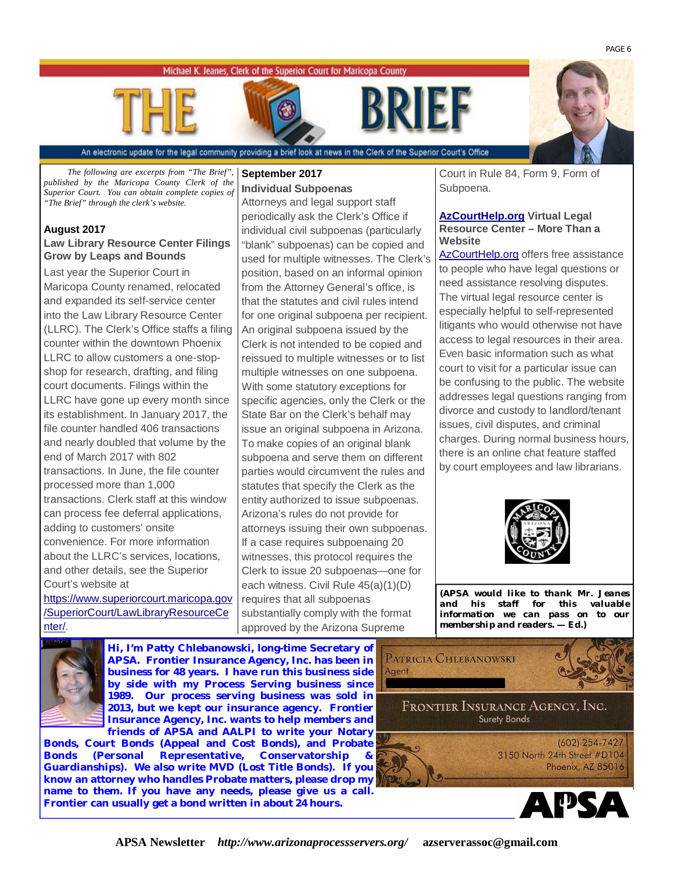#### Michael K. Jeanes, Clerk of the Superior Court for Maricopa County





An electronic update for the legal community providing a brief look at news in the Clerk of the Superior Court's Office

*The following are excerpts from "The Brief", published by the Maricopa County Clerk of the Superior Court. You can obtain complete copies of "The Brief" through the clerk's website.* 

#### **August 2017 Law Library Resource Center Filings Grow by Leaps and Bounds**

Last year the Superior Court in Maricopa County renamed, relocated and expanded its self-service center into the Law Library Resource Center (LLRC). The Clerk's Office staffs a filing counter within the downtown Phoenix LLRC to allow customers a one-stopshop for research, drafting, and filing court documents. Filings within the LLRC have gone up every month since its establishment. In January 2017, the file counter handled 406 transactions and nearly doubled that volume by the end of March 2017 with 802 transactions. In June, the file counter processed more than 1,000 transactions. Clerk staff at this window can process fee deferral applications, adding to customers' onsite convenience. For more information about the LLRC's services, locations, and other details, see the Superior Court's website at

<https://www.superiorcourt.maricopa.gov> /SuperiorCourt/LawLibraryResourceCe nter/.

#### **September 2017 Individual Subpoenas**

Attorneys and legal support staff periodically ask the Clerk's Office if individual civil subpoenas (particularly "blank" subpoenas) can be copied and used for multiple witnesses. The Clerk's position, based on an informal opinion from the Attorney General's office, is that the statutes and civil rules intend for one original subpoena per recipient. An original subpoena issued by the Clerk is not intended to be copied and reissued to multiple witnesses or to list multiple witnesses on one subpoena. With some statutory exceptions for specific agencies, only the Clerk or the State Bar on the Clerk's behalf may issue an original subpoena in Arizona. To make copies of an original blank subpoena and serve them on different parties would circumvent the rules and statutes that specify the Clerk as the entity authorized to issue subpoenas. Arizona's rules do not provide for attorneys issuing their own subpoenas. If a case requires subpoenaing 20 witnesses, this protocol requires the Clerk to issue 20 subpoenas—one for each witness. Civil Rule 45(a)(1)(D) requires that all subpoenas substantially comply with the format approved by the Arizona Supreme

Court in Rule 84, Form 9, Form of Subpoena.

#### **AzCourtHelp.org Virtual Legal Resource Center – More Than a Website**

AzCourtHelp.org offers free assistance to people who have legal questions or need assistance resolving disputes. The virtual legal resource center is especially helpful to self-represented litigants who would otherwise not have access to legal resources in their area. Even basic information such as what court to visit for a particular issue can be confusing to the public. The website addresses legal questions ranging from divorce and custody to landlord/tenant issues, civil disputes, and criminal charges. During normal business hours, there is an online chat feature staffed by court employees and law librarians.



**(***APSA would like to thank Mr. Jeanes and his staff for this valuable information we can pass on to our membership and readers.* **—** *Ed.)*



**Hi, I'm Patty Chlebanowski, long-time Secretary of APSA. Frontier Insurance Agency, Inc. has been in business for 48 years. I have run this business side by side with my Process Serving business since 1989. Our process serving business was sold in 2013, but we kept our insurance agency. Frontier Insurance Agency, Inc. wants to help members and friends of APSA and AALPI to write your Notary** 

**Bonds, Court Bonds (Appeal and Cost Bonds), and Probate**  Bonds (Personal Representative, Conservatorship **Guardianships). We also write MVD (Lost Title Bonds). If you know an attorney who handles Probate matters, please drop my name to them. If you have any needs, please give us a call. Frontier can usually get a bond written in about 24 hours.** 





PAGE 6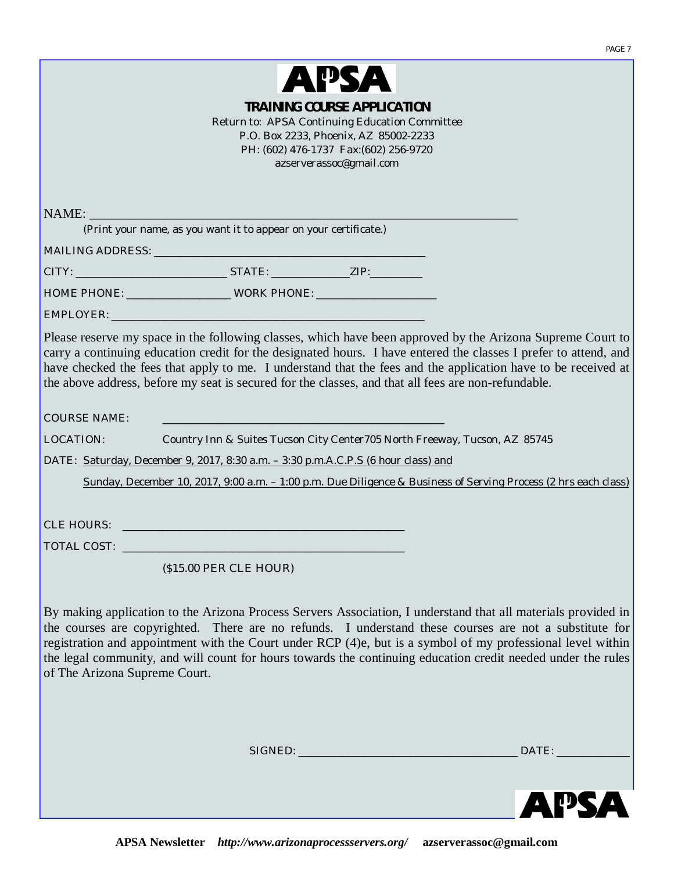

|                               | Return to: APSA Continuing Education Committee                                                                                                                                                                                                                                                                                                                                                                                                         | $\overline{\phantom{a}}$<br><b>TRAINING COURSE APPLICATION</b><br>P.O. Box 2233, Phoenix, AZ 85002-2233<br>PH: (602) 476-1737 Fax: (602) 256-9720<br>azserverassoc@gmail.com |                        |
|-------------------------------|--------------------------------------------------------------------------------------------------------------------------------------------------------------------------------------------------------------------------------------------------------------------------------------------------------------------------------------------------------------------------------------------------------------------------------------------------------|------------------------------------------------------------------------------------------------------------------------------------------------------------------------------|------------------------|
| NAME:                         |                                                                                                                                                                                                                                                                                                                                                                                                                                                        |                                                                                                                                                                              |                        |
|                               | (Print your name, as you want it to appear on your certificate.)                                                                                                                                                                                                                                                                                                                                                                                       |                                                                                                                                                                              |                        |
|                               |                                                                                                                                                                                                                                                                                                                                                                                                                                                        |                                                                                                                                                                              |                        |
|                               | CITY: ___________________________________STATE: _____________________ZIP:_________                                                                                                                                                                                                                                                                                                                                                                     |                                                                                                                                                                              |                        |
|                               |                                                                                                                                                                                                                                                                                                                                                                                                                                                        |                                                                                                                                                                              |                        |
|                               | carry a continuing education credit for the designated hours. I have entered the classes I prefer to attend, and<br>have checked the fees that apply to me. I understand that the fees and the application have to be received at<br>the above address, before my seat is secured for the classes, and that all fees are non-refundable.                                                                                                               |                                                                                                                                                                              |                        |
| <b>COURSE NAME:</b>           | <b>CONTRACTOR</b>                                                                                                                                                                                                                                                                                                                                                                                                                                      |                                                                                                                                                                              |                        |
| LOCATION:                     | Country Inn & Suites Tucson City Center 705 North Freeway, Tucson, AZ 85745                                                                                                                                                                                                                                                                                                                                                                            |                                                                                                                                                                              |                        |
|                               | DATE: Saturday, December 9, 2017, 8:30 a.m. - 3:30 p.m.A.C.P.S (6 hour class) and<br>Sunday, December 10, 2017, 9:00 a.m. - 1:00 p.m. Due Diligence & Business of Serving Process (2 hrs each class)                                                                                                                                                                                                                                                   |                                                                                                                                                                              |                        |
|                               |                                                                                                                                                                                                                                                                                                                                                                                                                                                        |                                                                                                                                                                              |                        |
|                               |                                                                                                                                                                                                                                                                                                                                                                                                                                                        |                                                                                                                                                                              |                        |
|                               |                                                                                                                                                                                                                                                                                                                                                                                                                                                        |                                                                                                                                                                              |                        |
|                               | (\$15.00 PER CLE HOUR)                                                                                                                                                                                                                                                                                                                                                                                                                                 |                                                                                                                                                                              |                        |
| of The Arizona Supreme Court. | By making application to the Arizona Process Servers Association, I understand that all materials provided in<br>the courses are copyrighted. There are no refunds. I understand these courses are not a substitute for<br>registration and appointment with the Court under RCP (4)e, but is a symbol of my professional level within<br>the legal community, and will count for hours towards the continuing education credit needed under the rules |                                                                                                                                                                              |                        |
|                               |                                                                                                                                                                                                                                                                                                                                                                                                                                                        |                                                                                                                                                                              | DATE: ________________ |

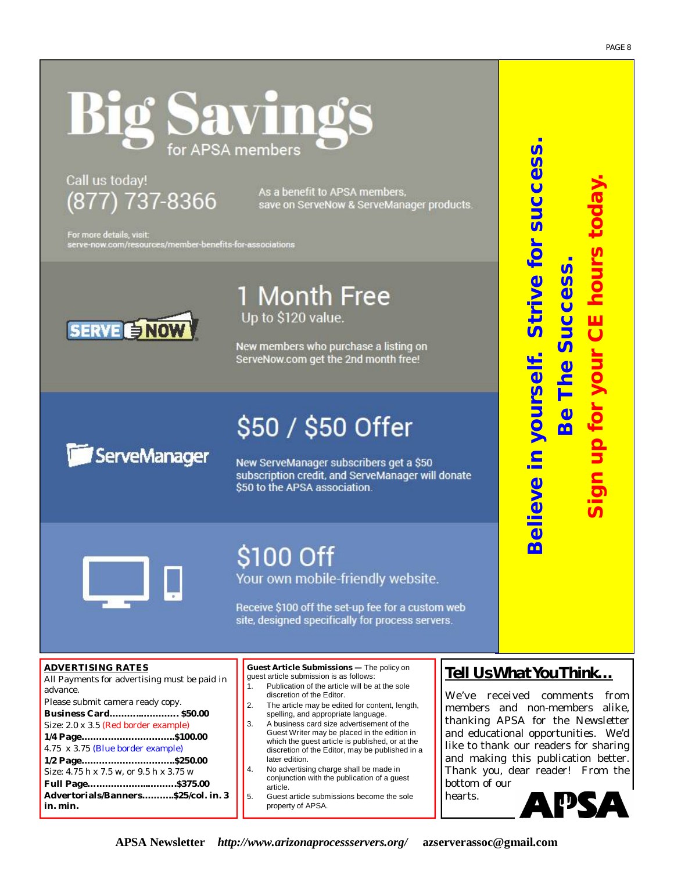# Savin APSA members

## Call us today! (877) 737-8366

As a benefit to APSA members, save on ServeNow & ServeManager products.

For more details, visit: serve-now.com/resources/member-benefits-for-associations



1 Month Free Up to \$120 value.

New members who purchase a listing on ServeNow.com get the 2nd month free!

# \$50 / \$50 Offer ServeManager

New ServeManager subscribers get a \$50 subscription credit, and ServeManager will donate \$50 to the APSA association.



# \$100 Off

Your own mobile-friendly website.

Receive \$100 off the set-up fee for a custom web site, designed specifically for process servers.

#### **ADVERTISING RATES**

All Payments for advertising must be paid in advance.

Please submit camera ready copy. **Business Card………..…………. \$50.00** Size: 2.0 x 3.5 (Red border example) **1/4 Page…………………………..\$100.00**  4.75 x 3.75 (Blue border example) **1/2 Page…………………………..\$250.00**  Size: 4.75 h x 7.5 w, or 9.5 h x 3.75 w **Full Page………………...……….\$375.00 Advertorials/Banners………..\$25/col. in. 3 in. min.**

**Guest Article Submissions —** The policy on guest article submission is as follows:

- 1. Publication of the article will be at the sole discretion of the Editor.
- 2. The article may be edited for content, length, spelling, and appropriate language.
- 3. A business card size advertisement of the Guest Writer may be placed in the edition in which the guest article is published, or at the discretion of the Editor, may be published in a later edition.
- 4. No advertising charge shall be made in conjunction with the publication of a guest article.
- 5. Guest article submissions become the sole property of APSA.

### *Tell Us What You Think…*

**Believe in yourself. Strive for success.**

Believe in yourself. Strive for success

*Be The Success***.** 

Be The Success

**Sign up for your CE hours today.** 

an up for your CE hours tod

We've received comments from members and non-members alike, thanking APSA for the Newsletter and educational opportunities. We'd like to thank our readers for sharing and making this publication better. Thank you, dear reader! From the bottom of our

hearts.

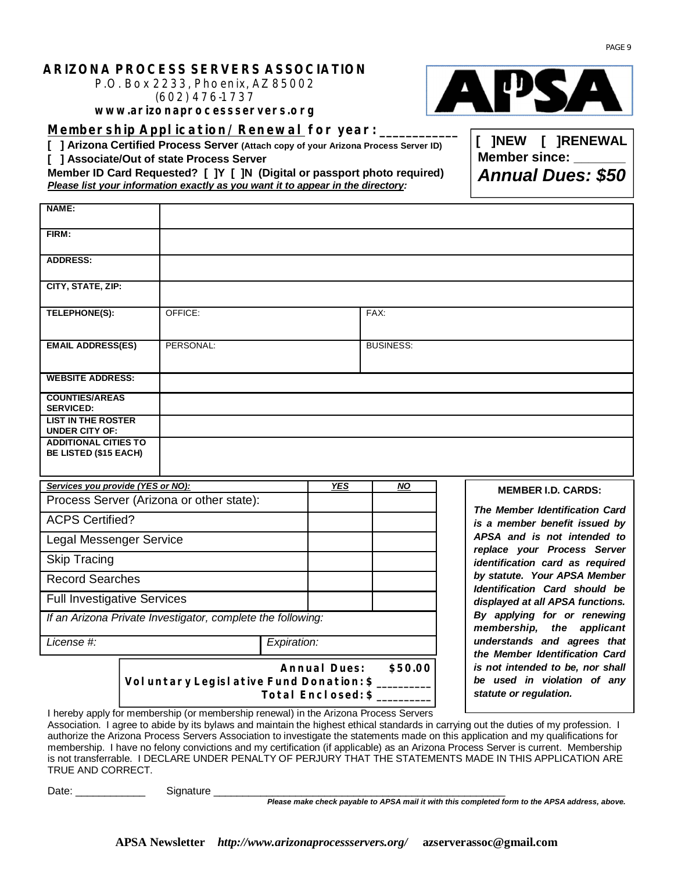#### **ARIZONA PROCESS SERVERS ASSOCIATION**

P.O. Box 2233, Phoenix, AZ 85002 (602) 476-1737

**[www.arizonaprocessservers.org](http://www.arizonaprocessservers.org)**

**Membership Application/Renewal for year: \_\_\_\_\_\_\_\_\_\_\_\_**

**[ ] Arizona Certified Process Server (Attach copy of your Arizona Process Server ID)** 

**[ ] Associate/Out of state Process Server**

**Member ID Card Requested? [ ]Y [ ]N (Digital or passport photo required)**  *Please list your information exactly as you want it to appear in the directory:*

| NAME:                                                       |  |                                                                                                                                                                                                                                                                                      |             |                                  |                  |                                                                      |
|-------------------------------------------------------------|--|--------------------------------------------------------------------------------------------------------------------------------------------------------------------------------------------------------------------------------------------------------------------------------------|-------------|----------------------------------|------------------|----------------------------------------------------------------------|
| FIRM:                                                       |  |                                                                                                                                                                                                                                                                                      |             |                                  |                  |                                                                      |
| <b>ADDRESS:</b>                                             |  |                                                                                                                                                                                                                                                                                      |             |                                  |                  |                                                                      |
| CITY, STATE, ZIP:                                           |  |                                                                                                                                                                                                                                                                                      |             |                                  |                  |                                                                      |
| <b>TELEPHONE(S):</b>                                        |  | OFFICE:                                                                                                                                                                                                                                                                              |             |                                  | FAX:             |                                                                      |
| <b>EMAIL ADDRESS(ES)</b>                                    |  | PERSONAL:                                                                                                                                                                                                                                                                            |             |                                  | <b>BUSINESS:</b> |                                                                      |
| <b>WEBSITE ADDRESS:</b>                                     |  |                                                                                                                                                                                                                                                                                      |             |                                  |                  |                                                                      |
| <b>COUNTIES/AREAS</b><br><b>SERVICED:</b>                   |  |                                                                                                                                                                                                                                                                                      |             |                                  |                  |                                                                      |
| <b>LIST IN THE ROSTER</b><br><b>UNDER CITY OF:</b>          |  |                                                                                                                                                                                                                                                                                      |             |                                  |                  |                                                                      |
| <b>ADDITIONAL CITIES TO</b><br><b>BE LISTED (\$15 EACH)</b> |  |                                                                                                                                                                                                                                                                                      |             |                                  |                  |                                                                      |
| Services you provide (YES or NO):                           |  |                                                                                                                                                                                                                                                                                      |             | <b>YES</b>                       | <b>NO</b>        | <b>MEMBER I.D. CARDS:</b>                                            |
|                                                             |  | Process Server (Arizona or other state):                                                                                                                                                                                                                                             |             |                                  |                  | The Member Identification Card                                       |
| <b>ACPS Certified?</b>                                      |  |                                                                                                                                                                                                                                                                                      |             |                                  |                  | is a member benefit issued by                                        |
| <b>Legal Messenger Service</b>                              |  |                                                                                                                                                                                                                                                                                      |             | APSA and is not intended to      |                  |                                                                      |
| <b>Skip Tracing</b>                                         |  |                                                                                                                                                                                                                                                                                      |             |                                  |                  | replace your Process Server<br>identification card as required       |
| <b>Record Searches</b>                                      |  |                                                                                                                                                                                                                                                                                      |             |                                  |                  | by statute. Your APSA Member<br><b>Identification Card should be</b> |
| <b>Full Investigative Services</b>                          |  |                                                                                                                                                                                                                                                                                      |             | displayed at all APSA functions. |                  |                                                                      |
|                                                             |  | If an Arizona Private Investigator, complete the following:                                                                                                                                                                                                                          |             |                                  |                  | By applying for or renewing<br>membership,<br>the applicant          |
| License #:                                                  |  |                                                                                                                                                                                                                                                                                      | Expiration: |                                  |                  | understands and agrees that<br>the Member Identification Card        |
|                                                             |  | \$50.00<br>is not intended to be, nor shall<br><b>Annual Dues:</b><br>be used in violation of any<br>Voluntary Legislative Fund Donation: \$<br>statute or regulation.<br>Total Enclosed: \$<br>I hereby apply for membership (or membership renewal) in the Arizona Process Servers |             |                                  |                  |                                                                      |
|                                                             |  |                                                                                                                                                                                                                                                                                      |             |                                  |                  |                                                                      |

**[ ]NEW [ ]RENEWAL Member since:** 

Date: \_\_\_\_\_\_\_\_\_\_\_\_ Signature \_\_\_\_\_\_\_\_\_\_\_\_\_\_\_\_\_\_\_\_\_\_\_\_\_\_\_\_\_\_\_\_\_\_\_\_\_\_\_\_\_\_\_\_\_\_\_\_\_\_

TRUE AND CORRECT.

*Please make check payable to APSA mail it with this completed form to the APSA address, above.*

*Annual Dues: \$50*

Association. I agree to abide by its bylaws and maintain the highest ethical standards in carrying out the duties of my profession. I authorize the Arizona Process Servers Association to investigate the statements made on this application and my qualifications for membership. I have no felony convictions and my certification (if applicable) as an Arizona Process Server is current. Membership is not transferrable. I DECLARE UNDER PENALTY OF PERJURY THAT THE STATEMENTS MADE IN THIS APPLICATION ARE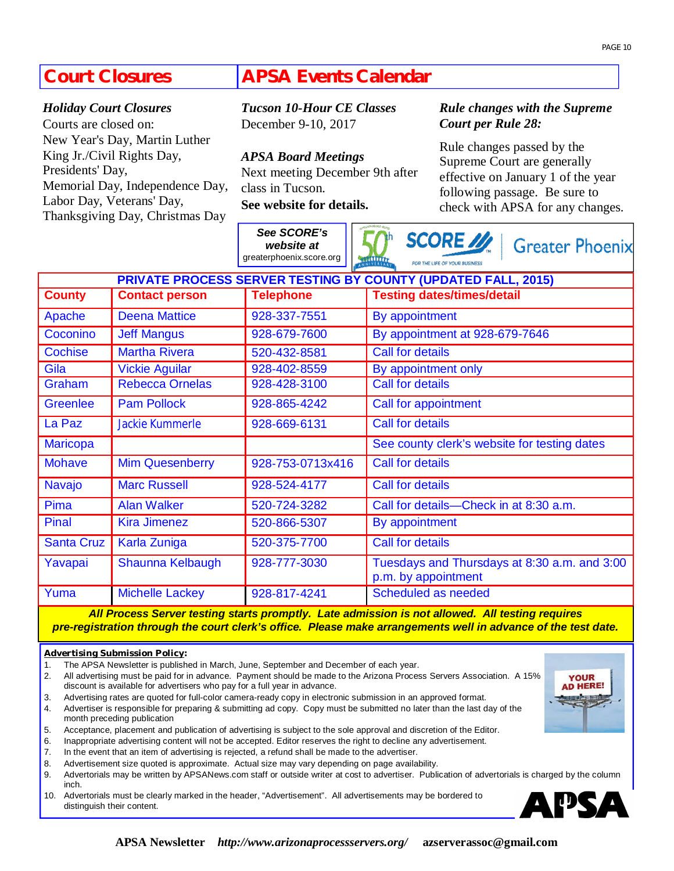### **Court Closures**

#### *Holiday Court Closures*

Courts are closed on: New Year's Day, Martin Luther King Jr./Civil Rights Day, Presidents' Day, Memorial Day, Independence Day, Labor Day, Veterans' Day, Thanksgiving Day, Christmas Day

### **APSA Events Calendar**

*Tucson 10-Hour CE Classes* December 9-10, 2017

*APSA Board Meetings* Next meeting December 9th after class in Tucson. **See website for details.** 

*See SCORE's* 

#### *Rule changes with the Supreme Court per Rule 28:*

Rule changes passed by the Supreme Court are generally effective on January 1 of the year following passage. Be sure to check with APSA for any changes.

 $CCOME$   $M_{\odot}$ 

|                                                                      |                         | website at<br>greaterphoenix.score.org | <b>SCORE</b> 22<br><b>Greater Phoenix</b><br><b>MULLER</b><br>FOR THE LIFE OF YOUR BUSINESS |  |  |  |  |  |  |
|----------------------------------------------------------------------|-------------------------|----------------------------------------|---------------------------------------------------------------------------------------------|--|--|--|--|--|--|
| <b>PRIVATE PROCESS SERVER TESTING BY COUNTY (UPDATED FALL, 2015)</b> |                         |                                        |                                                                                             |  |  |  |  |  |  |
| <b>County</b>                                                        | <b>Contact person</b>   | <b>Telephone</b>                       | <b>Testing dates/times/detail</b>                                                           |  |  |  |  |  |  |
| Apache                                                               | <b>Deena Mattice</b>    | 928-337-7551                           | By appointment                                                                              |  |  |  |  |  |  |
| Coconino                                                             | <b>Jeff Mangus</b>      | 928-679-7600                           | By appointment at 928-679-7646                                                              |  |  |  |  |  |  |
| <b>Cochise</b>                                                       | <b>Martha Rivera</b>    | 520-432-8581                           | <b>Call for details</b>                                                                     |  |  |  |  |  |  |
| Gila                                                                 | <b>Vickie Aguilar</b>   | 928-402-8559                           | By appointment only                                                                         |  |  |  |  |  |  |
| Graham                                                               | <b>Rebecca Ornelas</b>  | 928-428-3100                           | Call for details                                                                            |  |  |  |  |  |  |
| <b>Greenlee</b>                                                      | <b>Pam Pollock</b>      | 928-865-4242                           | Call for appointment                                                                        |  |  |  |  |  |  |
| La Paz                                                               | <b>Jackie Kummerle</b>  | 928-669-6131                           | <b>Call for details</b>                                                                     |  |  |  |  |  |  |
| <b>Maricopa</b>                                                      |                         |                                        | See county clerk's website for testing dates                                                |  |  |  |  |  |  |
| <b>Mohave</b>                                                        | <b>Mim Quesenberry</b>  | 928-753-0713x416                       | <b>Call for details</b>                                                                     |  |  |  |  |  |  |
| Navajo                                                               | <b>Marc Russell</b>     | 928-524-4177                           | <b>Call for details</b>                                                                     |  |  |  |  |  |  |
| Pima                                                                 | <b>Alan Walker</b>      | 520-724-3282                           | Call for details-Check in at 8:30 a.m.                                                      |  |  |  |  |  |  |
| Pinal                                                                | <b>Kira Jimenez</b>     | 520-866-5307                           | By appointment                                                                              |  |  |  |  |  |  |
| <b>Santa Cruz</b>                                                    | <b>Karla Zuniga</b>     | 520-375-7700                           | <b>Call for details</b>                                                                     |  |  |  |  |  |  |
| Yavapai                                                              | <b>Shaunna Kelbaugh</b> | 928-777-3030                           | Tuesdays and Thursdays at 8:30 a.m. and 3:00<br>p.m. by appointment                         |  |  |  |  |  |  |
| Yuma                                                                 | <b>Michelle Lackey</b>  | 928-817-4241                           | Scheduled as needed                                                                         |  |  |  |  |  |  |

*All Process Server testing starts promptly. Late admission is not allowed. All testing requires pre-registration through the court clerk's office. Please make arrangements well in advance of the test date.*

#### **Advertising Submission Policy:**

- 1. The APSA Newsletter is published in March, June, September and December of each year.
- 2. All advertising must be paid for in advance. Payment should be made to the Arizona Process Servers Association. A 15% discount is available for advertisers who pay for a full year in advance.
- 3. Advertising rates are quoted for full-color camera-ready copy in electronic submission in an approved format.
- 4. Advertiser is responsible for preparing & submitting ad copy. Copy must be submitted no later than the last day of the month preceding publication
- 5. Acceptance, placement and publication of advertising is subject to the sole approval and discretion of the Editor.
- 6. Inappropriate advertising content will not be accepted. Editor reserves the right to decline any advertisement.
- 7. In the event that an item of advertising is rejected, a refund shall be made to the advertiser.
- 8. Advertisement size quoted is approximate. Actual size may vary depending on page availability.
- 9. Advertorials may be written by APSANews.com staff or outside writer at cost to advertiser. Publication of advertorials is charged by the column inch.
- 10. Advertorials must be clearly marked in the header, "Advertisement". All advertisements may be bordered to distinguish their content.